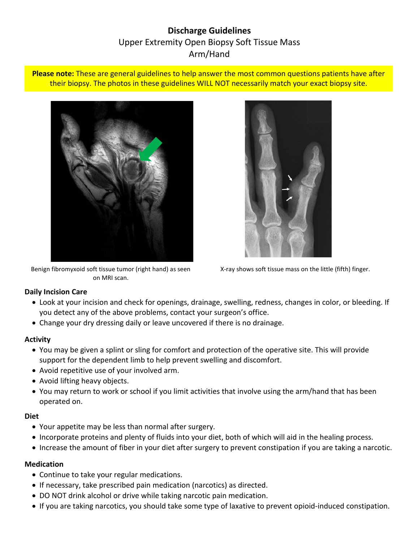# **Discharge Guidelines** Upper Extremity Open Biopsy Soft Tissue Mass Arm/Hand

**Please note:** These are general guidelines to help answer the most common questions patients have after their biopsy. The photos in these guidelines WILL NOT necessarily match your exact biopsy site.



Benign fibromyxoid soft tissue tumor (right hand) as seen on MRI scan.



X-ray shows soft tissue mass on the little (fifth) finger.

### **Daily Incision Care**

- Look at your incision and check for openings, drainage, swelling, redness, changes in color, or bleeding. If you detect any of the above problems, contact your surgeon's office.
- Change your dry dressing daily or leave uncovered if there is no drainage.

#### **Activity**

- You may be given a splint or sling for comfort and protection of the operative site. This will provide support for the dependent limb to help prevent swelling and discomfort.
- Avoid repetitive use of your involved arm.
- Avoid lifting heavy objects.
- You may return to work or school if you limit activities that involve using the arm/hand that has been operated on.

### **Diet**

- Your appetite may be less than normal after surgery.
- Incorporate proteins and plenty of fluids into your diet, both of which will aid in the healing process.
- Increase the amount of fiber in your diet after surgery to prevent constipation if you are taking a narcotic.

### **Medication**

- Continue to take your regular medications.
- If necessary, take prescribed pain medication (narcotics) as directed.
- DO NOT drink alcohol or drive while taking narcotic pain medication.
- If you are taking narcotics, you should take some type of laxative to prevent opioid-induced constipation.